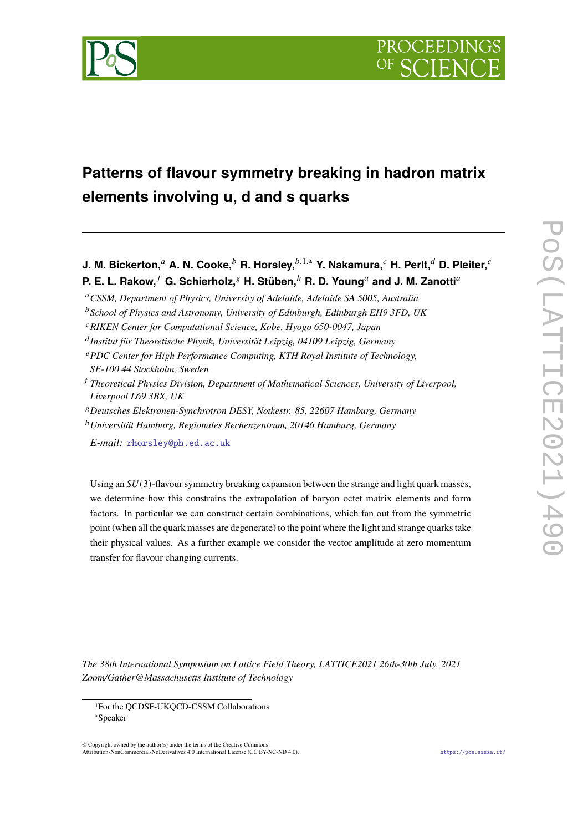

# **Patterns of flavour symmetry breaking in hadron matrix elements involving u, d and s quarks**

**J. M. Bickerton,<sup>a</sup> A. N. Cooke,<sup>b</sup> R. Horsley,<sup>b,1,∗</sup> Y. Nakamura,<sup>** $c$ **</sup> H. Perlt,<sup>d</sup> D. Pleiter,<sup>e</sup> P. E. L. Rakow,**  $f$  **G. Schierholz,**  $g$  **H. Stüben,**  $h$  **R. D. Young and J. M. Zanotti and H. P. 2. P. A. Equators** 

- <sup>𝑎</sup>*CSSM, Department of Physics, University of Adelaide, Adelaide SA 5005, Australia*
- <sup>b</sup> School of Physics and Astronomy, University of Edinburgh, Edinburgh EH9 3FD, UK
- <sup>𝑐</sup>*RIKEN Center for Computational Science, Kobe, Hyogo 650-0047, Japan*
- 𝑑 *Institut für Theoretische Physik, Universität Leipzig, 04109 Leipzig, Germany*
- <sup>𝑒</sup>*PDC Center for High Performance Computing, KTH Royal Institute of Technology, SE-100 44 Stockholm, Sweden*
- <sup>𝑓</sup> *Theoretical Physics Division, Department of Mathematical Sciences, University of Liverpool, Liverpool L69 3BX, UK*
- <sup>𝑔</sup>*Deutsches Elektronen-Synchrotron DESY, Notkestr. 85, 22607 Hamburg, Germany*
- <sup>ℎ</sup>*Universität Hamburg, Regionales Rechenzentrum, 20146 Hamburg, Germany*

*E-mail:* [rhorsley@ph.ed.ac.uk](mailto:rhorsley@ph.ed.ac.uk)

Using an  $SU(3)$ -flavour symmetry breaking expansion between the strange and light quark masses, we determine how this constrains the extrapolation of baryon octet matrix elements and form factors. In particular we can construct certain combinations, which fan out from the symmetric point (when all the quark masses are degenerate) to the point where the light and strange quarks take their physical values. As a further example we consider the vector amplitude at zero momentum transfer for flavour changing currents.

*The 38th International Symposium on Lattice Field Theory, LATTICE2021 26th-30th July, 2021 Zoom/Gather@Massachusetts Institute of Technology*

 $\odot$  Copyright owned by the author(s) under the terms of the Creative Common Attribution-NonCommercial-NoDerivatives 4.0 International License (CC BY-NC-ND 4.0). <https://pos.sissa.it/>

<sup>1</sup>For the QCDSF-UKQCD-CSSM Collaborations

<sup>∗</sup>Speaker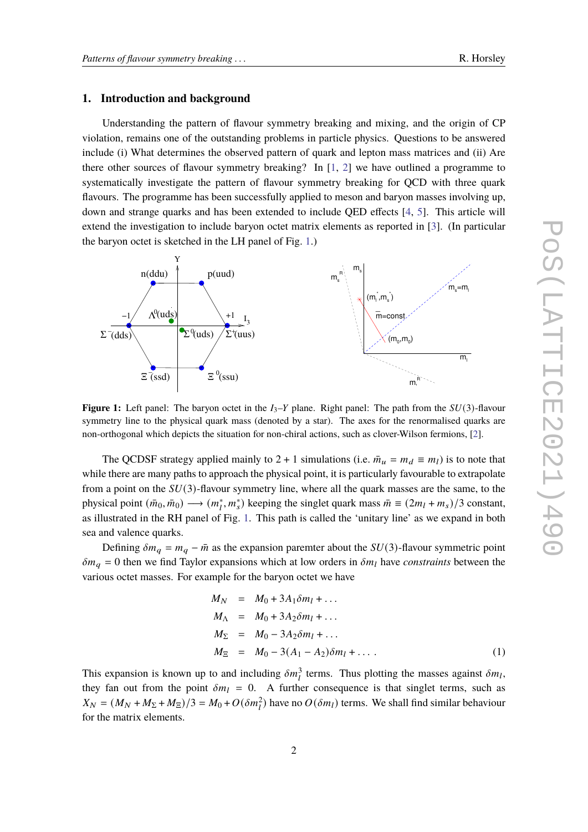### **1. Introduction and background**

Understanding the pattern of flavour symmetry breaking and mixing, and the origin of CP violation, remains one of the outstanding problems in particle physics. Questions to be answered include (i) What determines the observed pattern of quark and lepton mass matrices and (ii) Are there other sources of flavour symmetry breaking? In [\[1,](#page-7-0) [2\]](#page-7-1) we have outlined a programme to systematically investigate the pattern of flavour symmetry breaking for QCD with three quark flavours. The programme has been successfully applied to meson and baryon masses involving up, down and strange quarks and has been extended to include QED effects [\[4,](#page-7-2) [5\]](#page-7-3). This article will extend the investigation to include baryon octet matrix elements as reported in [\[3\]](#page-7-4). (In particular the baryon octet is sketched in the LH panel of Fig. [1.](#page-1-0))

<span id="page-1-0"></span>

**Figure 1:** Left panel: The baryon octet in the  $I_3$ -Y plane. Right panel: The path from the  $SU(3)$ -flavour symmetry line to the physical quark mass (denoted by a star). The axes for the renormalised quarks are non-orthogonal which depicts the situation for non-chiral actions, such as clover-Wilson fermions, [\[2\]](#page-7-1).

The QCDSF strategy applied mainly to 2 + 1 simulations (i.e.  $\bar{m}_u = m_d \equiv m_l$ ) is to note that while there are many paths to approach the physical point, it is particularly favourable to extrapolate from a point on the  $SU(3)$ -flavour symmetry line, where all the quark masses are the same, to the physical point  $(\bar{m}_0, \bar{m}_0) \rightarrow (m_l^*, m_s^*)$  keeping the singlet quark mass  $\bar{m} \equiv (2m_l + m_s)/3$  constant, as illustrated in the RH panel of Fig. [1.](#page-1-0) This path is called the 'unitary line' as we expand in both sea and valence quarks.

Defining  $\delta m_q = m_q - \bar{m}$  as the expansion paremter about the  $SU(3)$ -flavour symmetric point  $\delta m_q = 0$  then we find Taylor expansions which at low orders in  $\delta m_l$  have *constraints* between the various octet masses. For example for the baryon octet we have

<span id="page-1-1"></span>
$$
M_N = M_0 + 3A_1 \delta m_l + ...
$$
  
\n
$$
M_{\Lambda} = M_0 + 3A_2 \delta m_l + ...
$$
  
\n
$$
M_{\Sigma} = M_0 - 3A_2 \delta m_l + ...
$$
  
\n
$$
M_{\Xi} = M_0 - 3(A_1 - A_2) \delta m_l + ...
$$
\n(1)

This expansion is known up to and including  $\delta m_l^3$  terms. Thus plotting the masses against  $\delta m_l$ , they fan out from the point  $\delta m_l = 0$ . A further consequence is that singlet terms, such as  $X_N = (M_N + M_\Sigma + M_\Xi)/3 = M_0 + O(\delta m_l^2)$  have no  $O(\delta m_l)$  terms. We shall find similar behaviour for the matrix elements.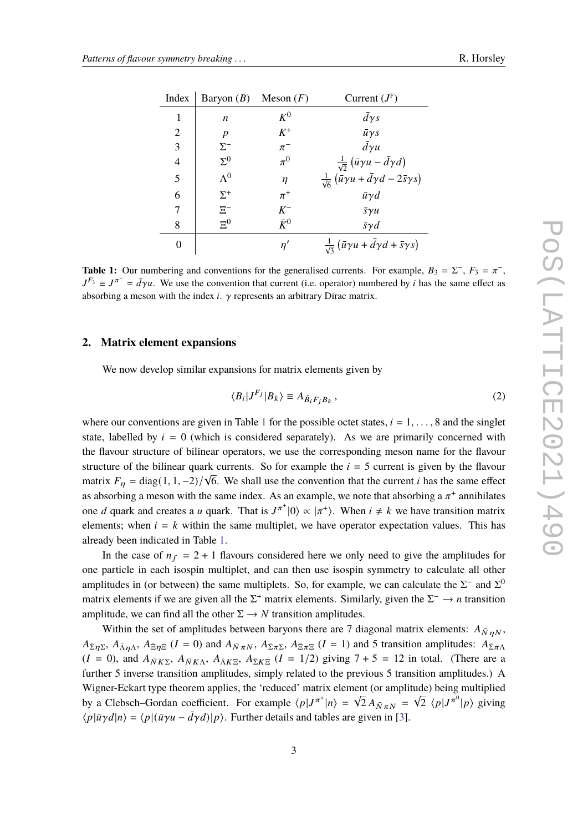<span id="page-2-0"></span>

| Index          | Baryon $(B)$ Meson $(F)$ |             | Current $(J^F)$                                                                      |
|----------------|--------------------------|-------------|--------------------------------------------------------------------------------------|
| 1              | n                        | $K^0$       | $d\gamma s$                                                                          |
| $\overline{2}$ | $\boldsymbol{p}$         | $K^+$       | $\bar{u}\gamma s$                                                                    |
| 3              | $\Sigma^-$               | $\pi^-$     | $\bar{d}\gamma u$                                                                    |
| $\overline{4}$ | $\Sigma^0$               | $\pi^0$     | $\frac{1}{\sqrt{2}}(\bar{u}\gamma u - \bar{d}\gamma d)$                              |
| 5              | $\Lambda^0$              | η           | $\frac{1}{\sqrt{6}}\left(\bar{u}\gamma u+\bar{d}\gamma d-2\bar{s}\gamma s\right)$    |
| 6              | $\Sigma^+$               | $\pi^+$     | $\bar{u}\gamma d$                                                                    |
| 7              | $\Xi^-$                  | $K^-$       | $\bar{s} \gamma u$                                                                   |
| 8              | $\Xi^0$                  | $\bar{K}^0$ | $\bar{s}\gamma d$                                                                    |
| 0              |                          | n'          | $\frac{1}{\sqrt{3}}\left(\bar{u}\gamma u + \bar{d}\gamma d + \bar{s}\gamma s\right)$ |

**Table 1:** Our numbering and conventions for the generalised currents. For example,  $B_3 = \Sigma^-, F_3 = \pi^-,$  $J^{F_3} \equiv J^{\pi^-} = \bar{d}\gamma u$ . We use the convention that current (i.e. operator) numbered by *i* has the same effect as absorbing a meson with the index  $i$ .  $\gamma$  represents an arbitrary Dirac matrix.

#### **2. Matrix element expansions**

We now develop similar expansions for matrix elements given by

$$
\langle B_i | J^{F_j} | B_k \rangle \equiv A_{\bar{B}_i F_i B_k},\qquad(2)
$$

where our conventions are given in Table [1](#page-2-0) for the possible octet states,  $i = 1, \ldots, 8$  and the singlet state, labelled by  $i = 0$  (which is considered separately). As we are primarily concerned with the flavour structure of bilinear operators, we use the corresponding meson name for the flavour structure of the bilinear quark currents. So for example the  $i = 5$  current is given by the flavour matrix  $F_{\eta} = \text{diag}(1, 1, -2)/\sqrt{6}$ . We shall use the convention that the current *i* has the same effect as absorbing a meson with the same index. As an example, we note that absorbing a  $\pi^+$  annihilates one *d* quark and creates a *u* quark. That is  $J^{\pi^+}|0\rangle \propto |\pi^+\rangle$ . When  $i \neq k$  we have transition matrix elements; when  $i = k$  within the same multiplet, we have operator expectation values. This has already been indicated in Table [1.](#page-2-0)

In the case of  $n_f = 2 + 1$  flavours considered here we only need to give the amplitudes for one particle in each isospin multiplet, and can then use isospin symmetry to calculate all other amplitudes in (or between) the same multiplets. So, for example, we can calculate the  $\Sigma^-$  and  $\Sigma^0$ matrix elements if we are given all the  $\Sigma^+$  matrix elements. Similarly, given the  $\Sigma^- \to n$  transition amplitude, we can find all the other  $\Sigma \rightarrow N$  transition amplitudes.

Within the set of amplitudes between baryons there are 7 diagonal matrix elements:  $A_{\bar{N}nN}$ ,  $A_{\bar{\Sigma}\eta\Sigma}$ ,  $A_{\bar{\Lambda}\eta\Lambda}$ ,  $A_{\bar{\Xi}\eta\Xi}$  ( $I = 0$ ) and  $A_{\bar{N}\pi N}$ ,  $A_{\bar{\Sigma}\pi\Sigma}$ ,  $A_{\bar{\Xi}\pi\Xi}$  ( $I = 1$ ) and 5 transition amplitudes:  $A_{\bar{\Sigma}\pi\Lambda}$  $(I = 0)$ , and  $A_{\overline{N}K\Sigma}$ ,  $A_{\overline{N}K\Lambda}$ ,  $A_{\overline{N}K\Xi}$ ,  $A_{\overline{\Sigma}K\Xi}$   $(I = 1/2)$  giving  $7 + 5 = 12$  in total. (There are a further 5 inverse transition amplitudes, simply related to the previous 5 transition amplitudes.) A Wigner-Eckart type theorem applies, the 'reduced' matrix element (or amplitude) being multiplied by a Clebsch–Gordan coefficient. For example  $\langle p|J^{\pi^+}|n\rangle = \sqrt{2} A_{\bar{N}\pi N} = \sqrt{2} \langle p|J^{\pi^0}|p\rangle$  giving  $\langle p|\bar{u}\gamma d|n\rangle = \langle p|(\bar{u}\gamma u - \bar{d}\gamma d)|p\rangle$ . Further details and tables are given in [\[3\]](#page-7-4).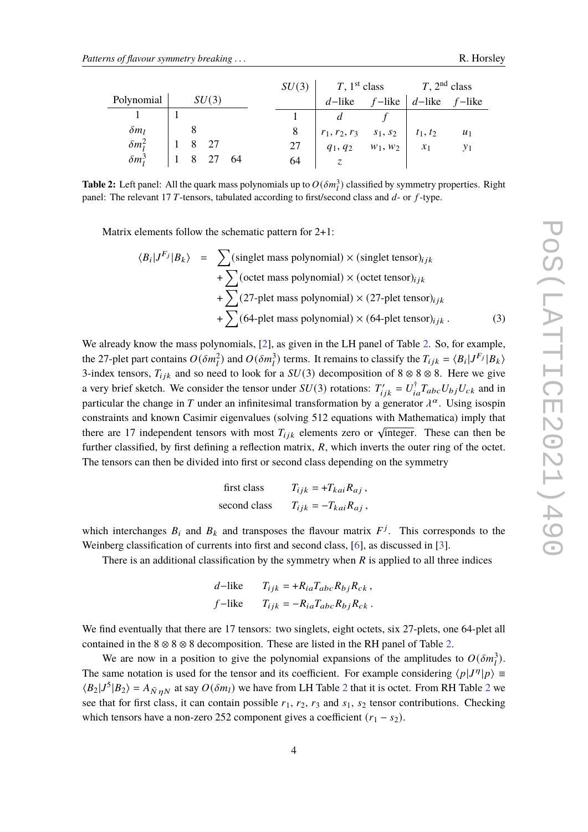<span id="page-3-0"></span>

|                |  |  |       |    | SU(3) | $T$ , 1 <sup>st</sup> class          |            | $T$ , 2 <sup>nd</sup> class |       |
|----------------|--|--|-------|----|-------|--------------------------------------|------------|-----------------------------|-------|
| Polynomial     |  |  | SU(3) |    |       | d-like $f$ -like $d$ -like $f$ -like |            |                             |       |
|                |  |  |       |    |       |                                      |            |                             |       |
| $\delta m_l$   |  |  |       |    |       | $r_1, r_2, r_3$ $s_1, s_2$           |            | $t_1, t_2$                  | $u_1$ |
| $\delta m_i^2$ |  |  |       |    | 27    | $q_1, q_2$                           | $w_1, w_2$ | $\mathcal{X}$ 1             |       |
| $\delta m_i^3$ |  |  |       | 64 | 64    |                                      |            |                             |       |

**Table 2:** Left panel: All the quark mass polynomials up to  $O(\delta m_l^3)$  classified by symmetry properties. Right panel: The relevant 17 T-tensors, tabulated according to first/second class and  $d$ - or  $f$ -type.

Matrix elements follow the schematic pattern for 2+1:

$$
\langle B_i | J^{F_j} | B_k \rangle = \sum (\text{singlet mass polynomial}) \times (\text{singlet tensor})_{ijk}
$$
  
+ 
$$
\sum (\text{octet mass polynomial}) \times (\text{octet tensor})_{ijk}
$$
  
+ 
$$
\sum (27 \text{-plet mass polynomial}) \times (27 \text{-plet tensor})_{ijk}
$$
  
+ 
$$
\sum (64 \text{-plet mass polynomial}) \times (64 \text{-plet tensor})_{ijk} . \tag{3}
$$

We already know the mass polynomials, [\[2\]](#page-7-1), as given in the LH panel of Table [2.](#page-3-0) So, for example, the 27-plet part contains  $O(\delta m_l^2)$  and  $O(\delta m_l^3)$  terms. It remains to classify the  $T_{ijk} = \langle B_i | J^{F_j} | B_k \rangle$ 3-index tensors,  $T_{ijk}$  and so need to look for a  $SU(3)$  decomposition of 8 ⊗ 8 ⊗ 8. Here we give a very brief sketch. We consider the tensor under  $SU(3)$  rotations:  $T'_{ijk} = U_{ia}^{\dagger} T_{abc} U_{bj} U_{ck}$  and in particular the change in T under an infinitesimal transformation by a generator  $\lambda^{\alpha}$ . Using isospin constraints and known Casimir eigenvalues (solving 512 equations with Mathematica) imply that there are 17 independent tensors with most  $T_{ijk}$  elements zero or  $\sqrt{$ integer. These can then be further classified, by first defining a reflection matrix,  $R$ , which inverts the outer ring of the octet. The tensors can then be divided into first or second class depending on the symmetry

first class 
$$
T_{ijk} = +T_{kai}R_{aj}
$$
,  
second class  $T_{ijk} = -T_{kai}R_{aj}$ ,

which interchanges  $B_i$  and  $B_k$  and transposes the flavour matrix  $F^j$ . This corresponds to the Weinberg classification of currents into first and second class, [\[6\]](#page-7-5), as discussed in [\[3\]](#page-7-4).

There is an additional classification by the symmetry when  *is applied to all three indices* 

$$
d-\text{like} \qquad T_{ijk} = +R_{ia}T_{abc}R_{bj}R_{ck},
$$
  

$$
f-\text{like} \qquad T_{ijk} = -R_{ia}T_{abc}R_{bj}R_{ck}.
$$

We find eventually that there are 17 tensors: two singlets, eight octets, six 27-plets, one 64-plet all contained in the  $8 \otimes 8 \otimes 8$  decomposition. These are listed in the RH panel of Table [2.](#page-3-0)

We are now in a position to give the polynomial expansions of the amplitudes to  $O(\delta m_i^3)$ . The same notation is used for the tensor and its coefficient. For example considering  $\langle p|J^{\eta}|p \rangle \equiv$  $\langle B_2|J^5|B_2\rangle = A_{\bar{N}nN}$  $\langle B_2|J^5|B_2\rangle = A_{\bar{N}nN}$  $\langle B_2|J^5|B_2\rangle = A_{\bar{N}nN}$  at say  $O(\delta m_l)$  we have from LH Table 2 that it is octet. From RH Table 2 we see that for first class, it can contain possible  $r_1$ ,  $r_2$ ,  $r_3$  and  $s_1$ ,  $s_2$  tensor contributions. Checking which tensors have a non-zero 252 component gives a coefficient  $(r_1 - s_2)$ .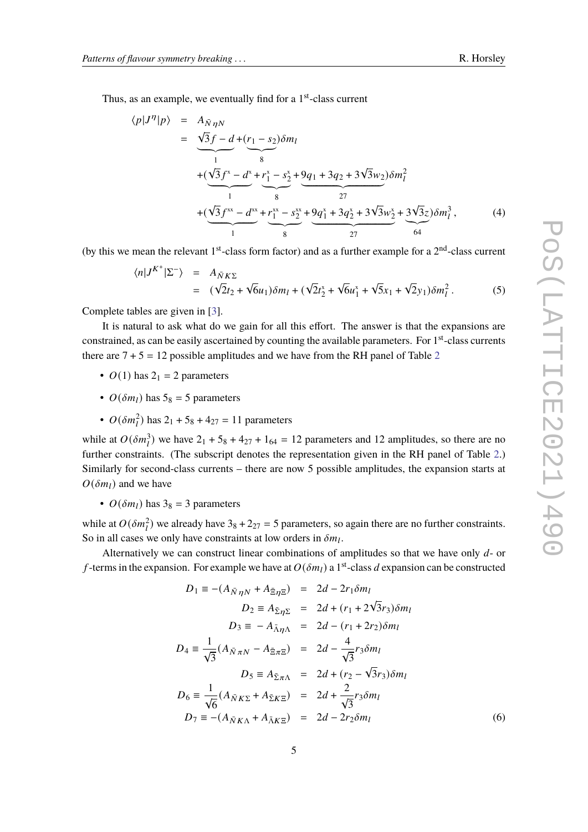Thus, as an example, we eventually find for a 1<sup>st</sup>-class current

$$
\langle p|J^{\eta}|p\rangle = A_{\bar{N}\eta N}
$$
  
=  $\frac{\sqrt{3}f - d + (r_1 - s_2)\delta m_l}{s}$   
+  $(\frac{\sqrt{3}f^x - d^x + r_1^x - s_2^x + 9q_1 + 3q_2 + 3\sqrt{3}w_2)\delta m_l^2}{s}$   
+  $(\frac{\sqrt{3}f^{xx} - d^{xx}}{1} + \frac{r_1^{xx} - s_2^{xx}}{s} + \frac{9q_1^x + 3q_2^x + 3\sqrt{3}w_2^x + 3\sqrt{3}z}{s^2})\delta m_l^3$ , (4)

(by this we mean the relevant  $1<sup>st</sup>$ -class form factor) and as a further example for a  $2<sup>nd</sup>$ -class current

$$
\langle n|J^{K^+}|\Sigma^-\rangle = A_{\bar{N}K\Sigma} = (\sqrt{2}t_2 + \sqrt{6}u_1)\delta m_l + (\sqrt{2}t_2^* + \sqrt{6}u_1^* + \sqrt{5}x_1 + \sqrt{2}y_1)\delta m_l^2.
$$
 (5)

Complete tables are given in [\[3\]](#page-7-4).

It is natural to ask what do we gain for all this effort. The answer is that the expansions are constrained, as can be easily ascertained by counting the available parameters. For 1<sup>st</sup>-class currents there are  $7 + 5 = 12$  $7 + 5 = 12$  possible amplitudes and we have from the RH panel of Table 2

- $O(1)$  has  $2<sub>1</sub> = 2$  parameters
- $O(\delta m_l)$  has  $5_8 = 5$  parameters
- $O(\delta m_l^2)$  has  $2_1 + 5_8 + 4_{27} = 11$  parameters

while at  $O(\delta m_l^3)$  we have  $2_1 + 5_8 + 4_{27} + 1_{64} = 12$  parameters and 12 amplitudes, so there are no further constraints. (The subscript denotes the representation given in the RH panel of Table [2.](#page-3-0)) Similarly for second-class currents – there are now 5 possible amplitudes, the expansion starts at  $O(\delta m_l)$  and we have

•  $O(\delta m_l)$  has  $3_8 = 3$  parameters

while at  $O(\delta m_l^2)$  we already have  $3_8 + 2_{27} = 5$  parameters, so again there are no further constraints. So in all cases we only have constraints at low orders in  $\delta m_l$ .

Alternatively we can construct linear combinations of amplitudes so that we have only  $d$ - or f-terms in the expansion. For example we have at  $O(\delta m_l)$  a 1<sup>st</sup>-class d expansion can be constructed

$$
D_1 \equiv -(A_{\bar{N}\eta N} + A_{\bar{\Xi}\eta \Xi}) = 2d - 2r_1 \delta m_l
$$
  
\n
$$
D_2 \equiv A_{\bar{\Sigma}\eta \Sigma} = 2d + (r_1 + 2\sqrt{3}r_3)\delta m_l
$$
  
\n
$$
D_3 \equiv -A_{\bar{\Lambda}\eta \Lambda} = 2d - (r_1 + 2r_2)\delta m_l
$$
  
\n
$$
D_4 \equiv \frac{1}{\sqrt{3}}(A_{\bar{N}\pi N} - A_{\bar{\Xi}\pi \Xi}) = 2d - \frac{4}{\sqrt{3}}r_3 \delta m_l
$$
  
\n
$$
D_5 \equiv A_{\bar{\Sigma}\pi \Lambda} = 2d + (r_2 - \sqrt{3}r_3)\delta m_l
$$
  
\n
$$
D_6 \equiv \frac{1}{\sqrt{6}}(A_{\bar{N}K\Sigma} + A_{\bar{\Sigma}K\Sigma}) = 2d + \frac{2}{\sqrt{3}}r_3 \delta m_l
$$
  
\n
$$
D_7 \equiv -(A_{\bar{N}K\Lambda} + A_{\bar{\Lambda}K\Sigma}) = 2d - 2r_2 \delta m_l
$$
  
\n(6)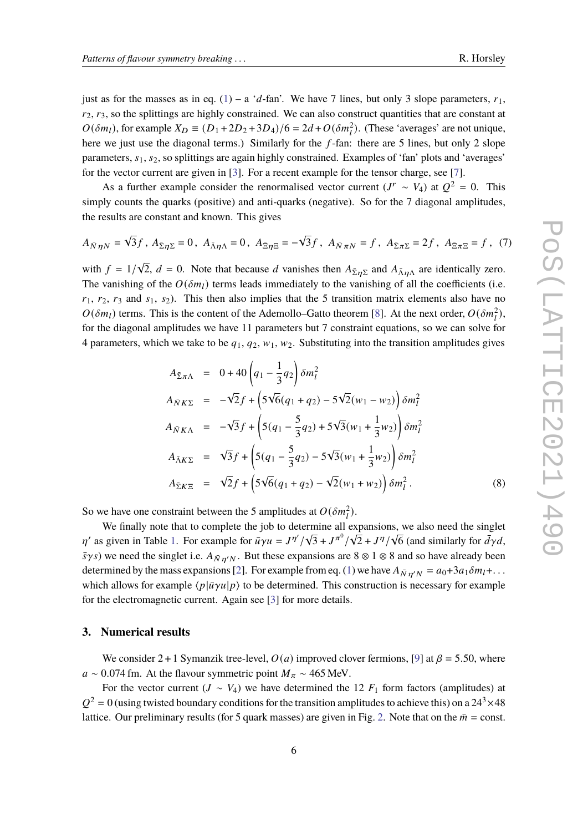just as for the masses as in eq. [\(1\)](#page-1-1) – a 'd-fan'. We have 7 lines, but only 3 slope parameters,  $r_1$ ,  $r_2$ ,  $r_3$ , so the splittings are highly constrained. We can also construct quantities that are constant at  $O(\delta m_l)$ , for example  $X_D \equiv (D_1 + 2D_2 + 3D_4)/6 = 2d + O(\delta m_l^2)$ . (These 'averages' are not unique, here we just use the diagonal terms.) Similarly for the  $f$ -fan: there are 5 lines, but only 2 slope parameters,  $s_1$ ,  $s_2$ , so splittings are again highly constrained. Examples of 'fan' plots and 'averages' for the vector current are given in [\[3\]](#page-7-4). For a recent example for the tensor charge, see [\[7\]](#page-7-6).

As a further example consider the renormalised vector current  $(J^r \sim V_4)$  at  $Q^2 = 0$ . This simply counts the quarks (positive) and anti-quarks (negative). So for the 7 diagonal amplitudes, the results are constant and known. This gives

<span id="page-5-0"></span>
$$
A_{\bar{N}\eta N} = \sqrt{3}f, A_{\bar{\Sigma}\eta \Sigma} = 0, A_{\bar{\Lambda}\eta \Lambda} = 0, A_{\bar{\Xi}\eta \Xi} = -\sqrt{3}f, A_{\bar{N}\pi N} = f, A_{\bar{\Sigma}\pi \Sigma} = 2f, A_{\bar{\Xi}\pi \Xi} = f
$$
 (7)

with  $f = 1/\sqrt{2}$ ,  $d = 0$ . Note that because d vanishes then  $A_{\bar{\Sigma} \eta \Sigma}$  and  $A_{\bar{\Lambda} \eta \Lambda}$  are identically zero. The vanishing of the  $O(\delta m_l)$  terms leads immediately to the vanishing of all the coefficients (i.e.  $r_1$ ,  $r_2$ ,  $r_3$  and  $s_1$ ,  $s_2$ ). This then also implies that the 5 transition matrix elements also have no  $O(\delta m_l)$  terms. This is the content of the Ademollo–Gatto theorem [\[8\]](#page-7-7). At the next order,  $O(\delta m_l^2)$ , for the diagonal amplitudes we have 11 parameters but 7 constraint equations, so we can solve for 4 parameters, which we take to be  $q_1, q_2, w_1, w_2$ . Substituting into the transition amplitudes gives

<span id="page-5-1"></span>
$$
A_{\bar{\Sigma}\pi\Lambda} = 0 + 40 \left( q_1 - \frac{1}{3} q_2 \right) \delta m_l^2
$$
  
\n
$$
A_{\bar{N}K\Sigma} = -\sqrt{2} f + \left( 5\sqrt{6} (q_1 + q_2) - 5\sqrt{2} (w_1 - w_2) \right) \delta m_l^2
$$
  
\n
$$
A_{\bar{N}K\Lambda} = -\sqrt{3} f + \left( 5(q_1 - \frac{5}{3} q_2) + 5\sqrt{3} (w_1 + \frac{1}{3} w_2) \right) \delta m_l^2
$$
  
\n
$$
A_{\bar{\Lambda}K\Sigma} = \sqrt{3} f + \left( 5(q_1 - \frac{5}{3} q_2) - 5\sqrt{3} (w_1 + \frac{1}{3} w_2) \right) \delta m_l^2
$$
  
\n
$$
A_{\bar{\Sigma}K\Sigma} = \sqrt{2} f + \left( 5\sqrt{6} (q_1 + q_2) - \sqrt{2} (w_1 + w_2) \right) \delta m_l^2.
$$
 (8)

So we have one constraint between the 5 amplitudes at  $O(\delta m_i^2)$ .

We finally note that to complete the job to determine all expansions, we also need the singlet  $\eta'$  as given in Table [1.](#page-2-0) For example for  $\bar{u}\gamma u = J^{\eta'}/J^{\eta'}$  $\sqrt{3} + J^{\pi^0}/$  $\sqrt{2} + J^{\eta}/$ is, we also need the singlet<br> $\sqrt{6}$  (and similarly for  $\bar{d}\gamma d$ ,  $\bar{s}\gamma s$ ) we need the singlet i.e.  $A_{\bar{N}n'N}$ . But these expansions are 8 ⊗ 1 ⊗ 8 and so have already been determined by the mass expansions [\[2\]](#page-7-1). For example from eq. [\(1\)](#page-1-1) we have  $A_{\bar{N}n'N} = a_0 + 3a_1 \delta m_l + ...$ which allows for example  $\langle p|\bar{u}\gamma u|p\rangle$  to be determined. This construction is necessary for example for the electromagnetic current. Again see [\[3\]](#page-7-4) for more details.

## **3. Numerical results**

We consider 2 + 1 Symanzik tree-level,  $O(a)$  improved clover fermions, [\[9\]](#page-7-8) at  $\beta = 5.50$ , where  $a \sim 0.074$  fm. At the flavour symmetric point  $M_{\pi} \sim 465$  MeV.

For the vector current ( $J \sim V_4$ ) we have determined the 12  $F_1$  form factors (amplitudes) at  $Q^2 = 0$  (using twisted boundary conditions for the transition amplitudes to achieve this) on a 24<sup>3</sup>  $\times$  48 lattice. Our preliminary results (for 5 quark masses) are given in Fig. [2.](#page-6-0) Note that on the  $\bar{m}$  = const.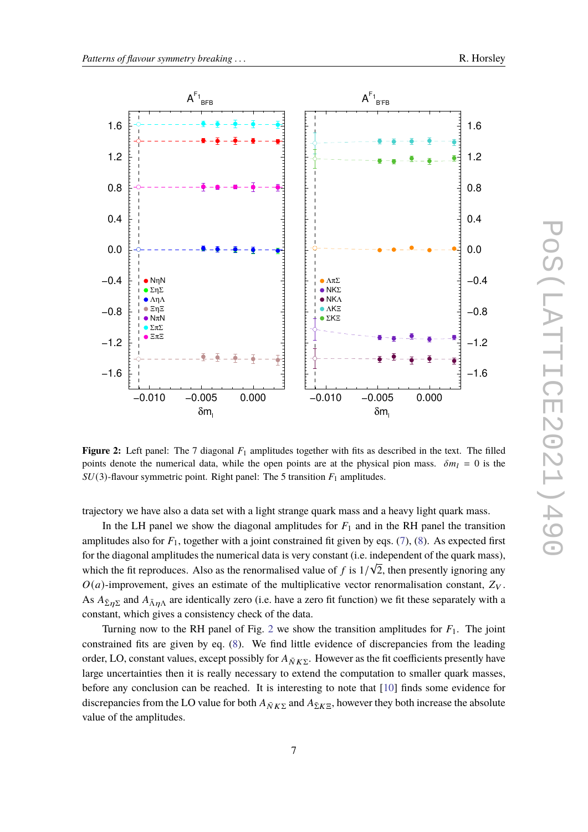<span id="page-6-0"></span>

**Figure 2:** Left panel: The 7 diagonal  $F_1$  amplitudes together with fits as described in the text. The filled points denote the numerical data, while the open points are at the physical pion mass.  $\delta m_l = 0$  is the  $SU(3)$ -flavour symmetric point. Right panel: The 5 transition  $F_1$  amplitudes.

trajectory we have also a data set with a light strange quark mass and a heavy light quark mass.

In the LH panel we show the diagonal amplitudes for  $F_1$  and in the RH panel the transition amplitudes also for  $F_1$ , together with a joint constrained fit given by eqs. [\(7\)](#page-5-0), [\(8\)](#page-5-1). As expected first for the diagonal amplitudes the numerical data is very constant (i.e. independent of the quark mass), which the fit reproduces. Also as the renormalised value of f is  $1/\sqrt{2}$ , then presently ignoring any  $O(a)$ -improvement, gives an estimate of the multiplicative vector renormalisation constant,  $Z_V$ . As  $A_{\bar{\Sigma}\eta\Sigma}$  and  $A_{\bar{\Lambda}\eta\Lambda}$  are identically zero (i.e. have a zero fit function) we fit these separately with a constant, which gives a consistency check of the data.

Turning now to the RH panel of Fig. [2](#page-6-0) we show the transition amplitudes for  $F_1$ . The joint constrained fits are given by eq. [\(8\)](#page-5-1). We find little evidence of discrepancies from the leading order, LO, constant values, except possibly for  $A_{\bar{N}K\Sigma}$ . However as the fit coefficients presently have large uncertainties then it is really necessary to extend the computation to smaller quark masses, before any conclusion can be reached. It is interesting to note that [\[10\]](#page-7-9) finds some evidence for discrepancies from the LO value for both  $A_{\bar{N}K\Sigma}$  and  $A_{\bar{\Sigma}K\Sigma}$ , however they both increase the absolute value of the amplitudes.